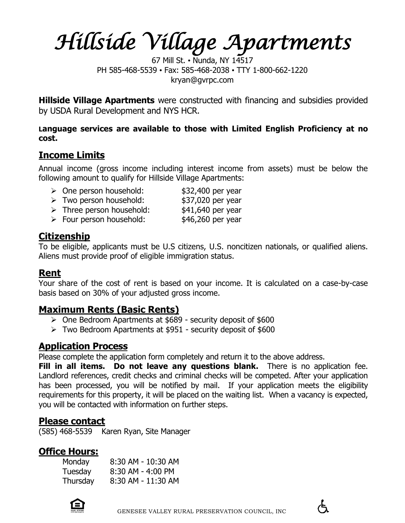*Hillside Village Apartments* 

67 Mill St. • Nunda, NY 14517 PH 585-468-5539 • Fax: 585-468-2038 • TTY 1-800-662-1220 kryan@gvrpc.com

**Hillside Village Apartments** were constructed with financing and subsidies provided by USDA Rural Development and NYS HCR.

**Language services are available to those with Limited English Proficiency at no cost.**

# **Income Limits**

**Following amount to qualify for Hillside Village Apartments:**<br>
Sone person household: Annual income (gross income including interest income from assets) must be below the

- One person household: \$32,400 per year  $\triangleright$  Two person household:
- $\triangleright$  Three person household:
- $\triangleright$  Four person household:

\$37,020 per year<br>\$41,640 per year<br>\$46,260 per year

# **Citizenship**

 Aliens must provide proof of eligible immigration status. To be eligible, applicants must be U.S citizens, U.S. noncitizen nationals, or qualified aliens.

### **Rent**

**Tour share of the cost of rent is based on your income. It is calculated on a case-by-case** basis based on 30% of your adjusted gross income.

# **Maximum Rents (Basic Rents)**

- One Bedroom Apartments at \$689 security deposit of \$600
- Two Bedroom Apartments at \$951 security deposit of \$600

# **Application Process**

Please complete the application form completely and return it to the above address.

Please complete the application form completely and return it to the above address.<br>**Fill in all items. Do not leave any questions blank.** There is no application fee. has been processed, you will be notified by mail. If your application meets the eligibility<br>requirements for this property it will be placed on the waiting list. When a vasancy is expected you will be contacted with information on further steps.<br>**Diance contact** Landlord references, credit checks and criminal checks will be competed. After your application requirements for this property, it will be placed on the waiting list. When a vacancy is expected,

### **Please contact**

(585) 468-5539 Karen Ryan, Site Manager

# **Office Hours:**

| Monday   | 8:30 AM - 10:30 AM |
|----------|--------------------|
| Tuesday  | 8:30 AM - 4:00 PM  |
| Thursday | 8:30 AM - 11:30 AM |

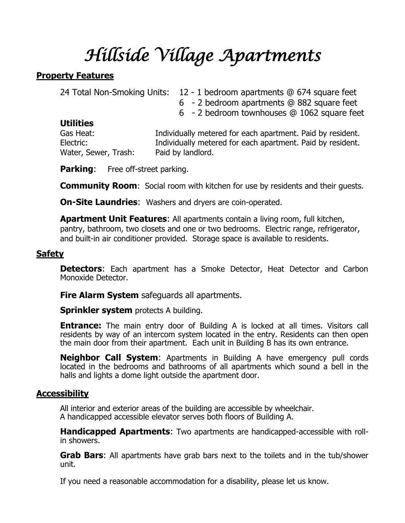### **Property Features**

| 24 Total Non-Smoking Units: | 12 - 1 bedroom apartments @ 674 square feet                |
|-----------------------------|------------------------------------------------------------|
|                             | 6 - 2 bedroom apartments @ 882 square feet                 |
|                             | 6 - 2 bedroom townhouses @ 1062 square feet                |
| <b>Utilities</b>            |                                                            |
| Gas Heat:                   | Individually metered for each apartment. Paid by resident. |
| Electric:                   | Individually metered for each apartment. Paid by resident. |
| Water, Sewer, Trash:        | Paid by landlord.                                          |
|                             |                                                            |

**Parking:** Free off-street parking.

**Community Room:** Social room with kitchen for use by residents and their quests.

**On-Site Laundries**: Washers and dryers are coin-operated.

**Apartment Unit Features**: All apartments contain a living room, full kitchen, pantry, bathroom, two closets and one or two bedrooms. Electric range, refrigerator, and built-in air conditioner provided. Storage space is available to residents.

### **Safety**

**Detectors:** Each apartment has a Smoke Detector, Heat Detector and Carbon Monoxide Detector.

**Fire Alarm System** safeguards all apartments.

**Sprinkler system** protects A building.

**Entrance:** The main entry door of Building A is locked at all times. Visitors call residents by way of an intercom system located in the entry. Residents can then open the main door from their apartment. Each unit in Building B has its own entrance.

**Neighbor Call System**: Apartments in Building A have emergency pull cords located in the bedrooms and bathrooms of all apartments which sound a bell in the halls and lights a dome light outside the apartment door.

### **Accessibility**

All interior and exterior areas of the building are accessible by wheelchair. A handicapped accessible elevator serves both floors of Building A.

**Handicapped Apartments**: Two apartments are handicapped-accessible with rollin showers.

**Grab Bars**: All apartments have grab bars next to the toilets and in the tub/shower unit.

If you need a reasonable accommodation for a disability, please let us know.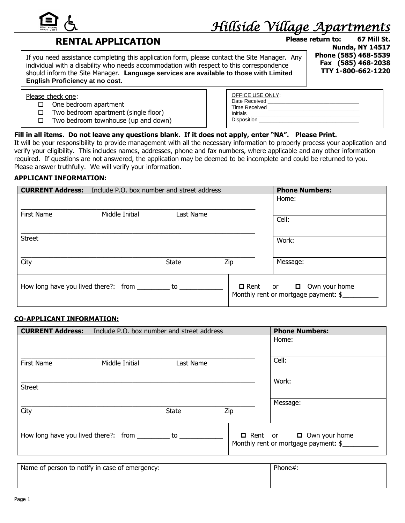

### **RENTAL APPLICATION**

If you need assistance completing this application form, please contact the Site Manager. Any **Phone (585) 468-5539** individual with a disability who needs accommodation with respect to this correspondence **Fax (585) 468-2038** should inform the Site Manager. **Language services are available to those with Limited English Proficiency at no cost.**

**Please return to: 67 Mill St. Nunda, NY 14517 TTY 1-800-662-1220**

Please check one:

- $\square$  One bedroom apartment
- $\Box$  Two bedroom apartment (single floor)
- $\Box$  Two bedroom townhouse (up and down)

| OFFICE USE ONLY:     |
|----------------------|
| Date Received        |
| <b>Time Received</b> |
| Initials             |
| Disposition          |
|                      |

#### **Fill in all items. Do not leave any questions blank. If it does not apply, enter "NA". Please Print.**

It will be your responsibility to provide management with all the necessary information to properly process your application and verify your eligibility. This includes names, addresses, phone and fax numbers, where applicable and any other information required. If questions are not answered, the application may be deemed to be incomplete and could be returned to you. Please answer truthfully. We will verify your information.

#### **APPLICANT INFORMATION:**

|                   | <b>CURRENT Address:</b> Include P.O. box number and street address |              | <b>Phone Numbers:</b> |                                                                                |
|-------------------|--------------------------------------------------------------------|--------------|-----------------------|--------------------------------------------------------------------------------|
|                   |                                                                    |              |                       | Home:                                                                          |
| <b>First Name</b> | Middle Initial                                                     | Last Name    |                       | Cell:                                                                          |
| <b>Street</b>     |                                                                    |              |                       | Work:                                                                          |
| City              |                                                                    | <b>State</b> | Zip                   | Message:                                                                       |
|                   | How long have you lived there?: from _________ to __               |              |                       | Own your home<br>$\Box$ Rent or $\Box$<br>Monthly rent or mortgage payment: \$ |

#### **CO-APPLICANT INFORMATION:**

| <b>CURRENT Address:</b><br>Include P.O. box number and street address |                                                        |              | <b>Phone Numbers:</b> |                                                                             |
|-----------------------------------------------------------------------|--------------------------------------------------------|--------------|-----------------------|-----------------------------------------------------------------------------|
|                                                                       |                                                        |              |                       | Home:                                                                       |
| First Name                                                            | Middle Initial                                         | Last Name    |                       | Cell:                                                                       |
| <b>Street</b>                                                         |                                                        |              |                       | Work:                                                                       |
|                                                                       |                                                        |              |                       | Message:                                                                    |
| City                                                                  |                                                        | <b>State</b> | Zip                   |                                                                             |
|                                                                       | How long have you lived there?: from _______ to ______ |              |                       | $\Box$ Rent or $\Box$ Own your home<br>Monthly rent or mortgage payment: \$ |

| Name of person to notify in case of emergency: | Phone#. |
|------------------------------------------------|---------|
|                                                |         |
|                                                |         |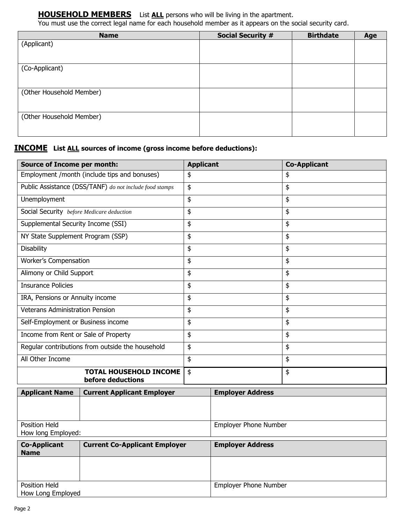**HOUSEHOLD MEMBERS** List **ALL** persons who will be living in the apartment.

You must use the correct legal name for each household member as it appears on the social security card.

| <b>Name</b>              | <b>Social Security #</b> | <b>Birthdate</b> | Age |
|--------------------------|--------------------------|------------------|-----|
| (Applicant)              |                          |                  |     |
|                          |                          |                  |     |
|                          |                          |                  |     |
| (Co-Applicant)           |                          |                  |     |
|                          |                          |                  |     |
|                          |                          |                  |     |
| (Other Household Member) |                          |                  |     |
|                          |                          |                  |     |
| (Other Household Member) |                          |                  |     |
|                          |                          |                  |     |
|                          |                          |                  |     |
|                          |                          |                  |     |

#### **INCOME List ALL sources of income (gross income before deductions):**

| <b>Source of Income per month:</b>                                         |                                                               | <b>Applicant</b>             |                              | <b>Co-Applicant</b> |
|----------------------------------------------------------------------------|---------------------------------------------------------------|------------------------------|------------------------------|---------------------|
|                                                                            | Employment /month (include tips and bonuses)                  | \$                           |                              | \$                  |
|                                                                            | Public Assistance (DSS/TANF) do not include food stamps<br>\$ |                              |                              | \$                  |
| Unemployment                                                               |                                                               | \$                           |                              | \$                  |
| Social Security before Medicare deduction                                  |                                                               | \$                           |                              | \$                  |
| Supplemental Security Income (SSI)                                         |                                                               | \$                           |                              | \$                  |
| NY State Supplement Program (SSP)                                          |                                                               | \$                           |                              | \$                  |
| <b>Disability</b>                                                          |                                                               | \$                           |                              | \$                  |
| Worker's Compensation                                                      |                                                               | \$                           |                              | \$                  |
| Alimony or Child Support                                                   |                                                               | \$                           |                              | \$                  |
| <b>Insurance Policies</b>                                                  |                                                               | \$                           |                              | \$                  |
| IRA, Pensions or Annuity income                                            |                                                               | \$                           |                              | \$                  |
| <b>Veterans Administration Pension</b>                                     |                                                               | \$                           |                              | \$                  |
| Self-Employment or Business income                                         |                                                               | \$                           |                              | \$                  |
|                                                                            | Income from Rent or Sale of Property<br>\$                    |                              |                              | \$                  |
|                                                                            | Regular contributions from outside the household              | \$                           |                              | \$                  |
| All Other Income                                                           |                                                               | \$                           |                              | \$                  |
|                                                                            | <b>TOTAL HOUSEHOLD INCOME</b><br>before deductions            | \$                           |                              | \$                  |
| <b>Applicant Name</b>                                                      | <b>Current Applicant Employer</b>                             |                              | <b>Employer Address</b>      |                     |
|                                                                            |                                                               |                              |                              |                     |
| <b>Position Held</b><br>How long Employed:                                 |                                                               | <b>Employer Phone Number</b> |                              |                     |
| <b>Co-Applicant</b><br><b>Current Co-Applicant Employer</b><br><b>Name</b> |                                                               |                              | <b>Employer Address</b>      |                     |
|                                                                            |                                                               |                              |                              |                     |
| Position Held<br>How Long Employed                                         |                                                               |                              | <b>Employer Phone Number</b> |                     |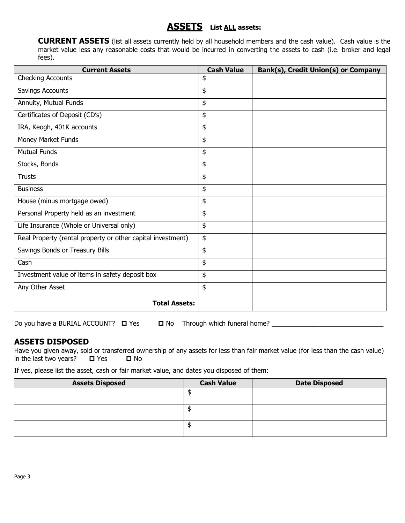### **ASSETS List ALL assets:**

**CURRENT ASSETS** (list all assets currently held by all household members and the cash value). Cash value is the market value less any reasonable costs that would be incurred in converting the assets to cash (i.e. broker and legal fees).

| <b>Current Assets</b>                                       | <b>Cash Value</b> | Bank(s), Credit Union(s) or Company |
|-------------------------------------------------------------|-------------------|-------------------------------------|
| <b>Checking Accounts</b>                                    | \$                |                                     |
| Savings Accounts                                            | \$                |                                     |
| Annuity, Mutual Funds                                       | \$                |                                     |
| Certificates of Deposit (CD's)                              | \$                |                                     |
| IRA, Keogh, 401K accounts                                   | \$                |                                     |
| Money Market Funds                                          | \$                |                                     |
| <b>Mutual Funds</b>                                         | \$                |                                     |
| Stocks, Bonds                                               | \$                |                                     |
| <b>Trusts</b>                                               | \$                |                                     |
| <b>Business</b>                                             | \$                |                                     |
| House (minus mortgage owed)                                 | \$                |                                     |
| Personal Property held as an investment                     | \$                |                                     |
| Life Insurance (Whole or Universal only)                    | \$                |                                     |
| Real Property (rental property or other capital investment) | \$                |                                     |
| Savings Bonds or Treasury Bills                             | \$                |                                     |
| Cash                                                        | \$                |                                     |
| Investment value of items in safety deposit box             | \$                |                                     |
| Any Other Asset                                             | \$                |                                     |
| <b>Total Assets:</b>                                        |                   |                                     |

Do you have a BURIAL ACCOUNT? Yes No Through which funeral home? \_\_\_\_\_\_\_\_\_\_\_\_\_\_\_\_\_\_\_\_\_\_\_\_\_\_\_\_\_\_\_

### **ASSETS DISPOSED**

Have you given away, sold or transferred ownership of any assets for less than fair market value (for less than the cash value) in the last two years?  $\Box$  Yes  $\Box$  No

If yes, please list the asset, cash or fair market value, and dates you disposed of them:

| <b>Assets Disposed</b> | <b>Cash Value</b> | <b>Date Disposed</b> |
|------------------------|-------------------|----------------------|
|                        |                   |                      |
|                        |                   |                      |
|                        |                   |                      |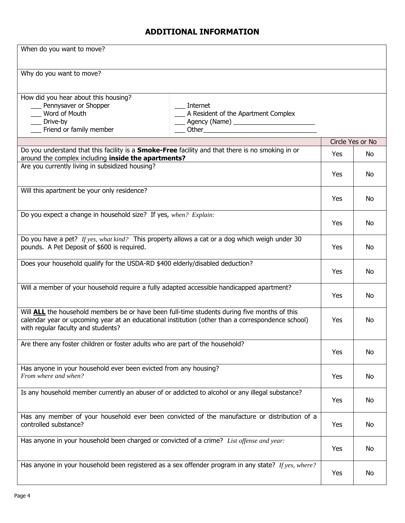### **ADDITIONAL INFORMATION**

| When do you want to move?                                                                                                                                                                                                                      |            |                  |
|------------------------------------------------------------------------------------------------------------------------------------------------------------------------------------------------------------------------------------------------|------------|------------------|
| Why do you want to move?                                                                                                                                                                                                                       |            |                  |
| How did you hear about this housing?<br>__ Pennysaver or Shopper<br>Internet<br>Word of Mouth<br>__ A Resident of the Apartment Complex<br>__ Drive-by<br>____ Agency (Name) ___________________________<br>__ Friend or family member         |            |                  |
|                                                                                                                                                                                                                                                |            | Circle Yes or No |
| Do you understand that this facility is a <b>Smoke-Free</b> facility and that there is no smoking in or<br>around the complex including inside the apartments?                                                                                 | <b>Yes</b> | No               |
| Are you currently living in subsidized housing?                                                                                                                                                                                                | Yes        | No               |
| Will this apartment be your only residence?                                                                                                                                                                                                    | Yes        | No               |
| Do you expect a change in household size? If yes, when? Explain:                                                                                                                                                                               | Yes        | No               |
| Do you have a pet? If yes, what kind? This property allows a cat or a dog which weigh under 30<br>pounds. A Pet Deposit of \$600 is required.                                                                                                  | Yes        | No               |
| Does your household qualify for the USDA-RD \$400 elderly/disabled deduction?                                                                                                                                                                  | <b>Yes</b> | No               |
| Will a member of your household require a fully adapted accessible handicapped apartment?                                                                                                                                                      | Yes        | No               |
| Will <b>ALL</b> the household members be or have been full-time students during five months of this<br>calendar year or upcoming year at an educational institution (other than a correspondence school)<br>with regular faculty and students? | Yes        | <b>No</b>        |
| Are there any foster children or foster adults who are part of the household?                                                                                                                                                                  | Yes        | No               |
| Has anyone in your household ever been evicted from any housing?<br>From where and when?                                                                                                                                                       | Yes        | No               |
| Is any household member currently an abuser of or addicted to alcohol or any illegal substance?                                                                                                                                                | Yes        | No               |
| Has any member of your household ever been convicted of the manufacture or distribution of a<br>controlled substance?                                                                                                                          | Yes        | No               |
| Has anyone in your household been charged or convicted of a crime? List offense and year:                                                                                                                                                      | Yes        | No               |
| Has anyone in your household been registered as a sex offender program in any state? If yes, where?                                                                                                                                            | Yes        | No               |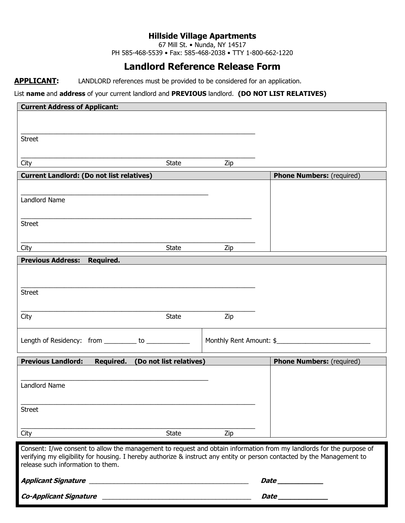67 Mill St. • Nunda, NY 14517

PH 585-468-5539 • Fax: 585-468-2038 • TTY 1-800-662-1220

# **Landlord Reference Release Form**

**APPLICANT:** LANDLORD references must be provided to be considered for an application.

#### List **name** and **address** of your current landlord and **PREVIOUS** landlord. **(DO NOT LIST RELATIVES)**

| <b>Current Address of Applicant:</b>                                                                                    |              |                         |                                  |
|-------------------------------------------------------------------------------------------------------------------------|--------------|-------------------------|----------------------------------|
|                                                                                                                         |              |                         |                                  |
|                                                                                                                         |              |                         |                                  |
| <b>Street</b>                                                                                                           |              |                         |                                  |
|                                                                                                                         |              |                         |                                  |
| City                                                                                                                    | State        | Zip                     |                                  |
| <b>Current Landlord: (Do not list relatives)</b>                                                                        |              |                         | <b>Phone Numbers:</b> (required) |
|                                                                                                                         |              |                         |                                  |
| Landlord Name                                                                                                           |              |                         |                                  |
|                                                                                                                         |              |                         |                                  |
| <b>Street</b>                                                                                                           |              |                         |                                  |
|                                                                                                                         |              |                         |                                  |
|                                                                                                                         |              |                         |                                  |
| City                                                                                                                    | State        | Zip                     |                                  |
| Previous Address: Required.                                                                                             |              |                         |                                  |
|                                                                                                                         |              |                         |                                  |
|                                                                                                                         |              |                         |                                  |
| <b>Street</b>                                                                                                           |              |                         |                                  |
|                                                                                                                         |              |                         |                                  |
| City                                                                                                                    | <b>State</b> | Zip                     |                                  |
|                                                                                                                         |              |                         |                                  |
| Length of Residency: from _________ to ___________                                                                      |              | Monthly Rent Amount: \$ |                                  |
|                                                                                                                         |              |                         |                                  |
| <b>Previous Landlord:</b><br>Required. (Do not list relatives)                                                          |              |                         | <b>Phone Numbers:</b> (required) |
|                                                                                                                         |              |                         |                                  |
| Landlord Name                                                                                                           |              |                         |                                  |
|                                                                                                                         |              |                         |                                  |
|                                                                                                                         |              |                         |                                  |
| <b>Street</b>                                                                                                           |              |                         |                                  |
|                                                                                                                         |              |                         |                                  |
| City                                                                                                                    | <b>State</b> | Zip                     |                                  |
| Consent: I/we consent to allow the management to request and obtain information from my landlords for the purpose of    |              |                         |                                  |
| verifying my eligibility for housing. I hereby authorize & instruct any entity or person contacted by the Management to |              |                         |                                  |
| release such information to them.                                                                                       |              |                         |                                  |
|                                                                                                                         |              |                         | Date ______________              |
|                                                                                                                         |              |                         |                                  |
| <b>Co-Applicant Signature</b><br><u> 1980 - Jan Barnett, margaret eta biztanleria (h. 1980).</u>                        |              |                         |                                  |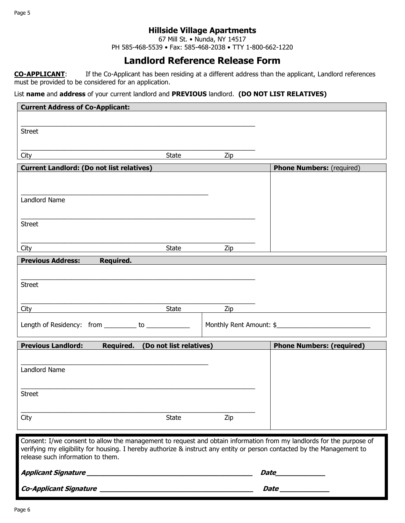67 Mill St. • Nunda, NY 14517

PH 585-468-5539 • Fax: 585-468-2038 • TTY 1-800-662-1220

### **Landlord Reference Release Form**

**CO-APPLICANT**: If the Co-Applicant has been residing at a different address than the applicant, Landlord references must be provided to be considered for an application.

List **name** and **address** of your current landlord and **PREVIOUS** landlord. **(DO NOT LIST RELATIVES)**

| <b>Current Address of Co-Applicant:</b>                                                                                                                                                                                                         |                         |                         |                                  |
|-------------------------------------------------------------------------------------------------------------------------------------------------------------------------------------------------------------------------------------------------|-------------------------|-------------------------|----------------------------------|
|                                                                                                                                                                                                                                                 |                         |                         |                                  |
| <b>Street</b>                                                                                                                                                                                                                                   |                         |                         |                                  |
|                                                                                                                                                                                                                                                 |                         |                         |                                  |
| City                                                                                                                                                                                                                                            | State                   | Zip                     |                                  |
| <b>Current Landlord: (Do not list relatives)</b>                                                                                                                                                                                                |                         |                         | <b>Phone Numbers:</b> (required) |
|                                                                                                                                                                                                                                                 |                         |                         |                                  |
|                                                                                                                                                                                                                                                 |                         |                         |                                  |
| Landlord Name                                                                                                                                                                                                                                   |                         |                         |                                  |
|                                                                                                                                                                                                                                                 |                         |                         |                                  |
| <b>Street</b>                                                                                                                                                                                                                                   |                         |                         |                                  |
|                                                                                                                                                                                                                                                 |                         |                         |                                  |
| City                                                                                                                                                                                                                                            | State                   | Zip                     |                                  |
| <b>Previous Address:</b><br>Required.                                                                                                                                                                                                           |                         |                         |                                  |
|                                                                                                                                                                                                                                                 |                         |                         |                                  |
| <b>Street</b>                                                                                                                                                                                                                                   |                         |                         |                                  |
|                                                                                                                                                                                                                                                 |                         |                         |                                  |
| City                                                                                                                                                                                                                                            | <b>State</b>            | Zip                     |                                  |
|                                                                                                                                                                                                                                                 |                         |                         |                                  |
| Length of Residency: from _________ to ____________                                                                                                                                                                                             |                         | Monthly Rent Amount: \$ |                                  |
| <b>Previous Landlord:</b><br>Required.                                                                                                                                                                                                          | (Do not list relatives) |                         |                                  |
|                                                                                                                                                                                                                                                 |                         |                         | <b>Phone Numbers: (required)</b> |
|                                                                                                                                                                                                                                                 |                         |                         |                                  |
| Landlord Name                                                                                                                                                                                                                                   |                         |                         |                                  |
|                                                                                                                                                                                                                                                 |                         |                         |                                  |
| <b>Street</b>                                                                                                                                                                                                                                   |                         |                         |                                  |
|                                                                                                                                                                                                                                                 |                         |                         |                                  |
| City                                                                                                                                                                                                                                            | <b>State</b>            | Zip                     |                                  |
|                                                                                                                                                                                                                                                 |                         |                         |                                  |
| Consent: I/we consent to allow the management to request and obtain information from my landlords for the purpose of<br>verifying my eligibility for housing. I hereby authorize & instruct any entity or person contacted by the Management to |                         |                         |                                  |
| release such information to them.                                                                                                                                                                                                               |                         |                         |                                  |
|                                                                                                                                                                                                                                                 |                         |                         |                                  |
|                                                                                                                                                                                                                                                 |                         |                         | <i>Date</i>                      |
|                                                                                                                                                                                                                                                 |                         |                         |                                  |
|                                                                                                                                                                                                                                                 |                         |                         |                                  |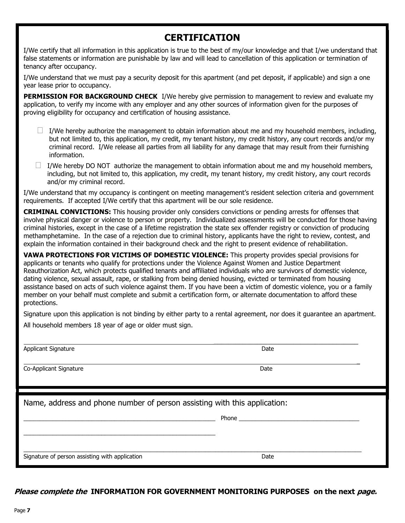# **CERTIFICATION**

**CERTIFICATION** I/We certify that all information in this application is true to the best of my/our knowledge and that I/we understand that false statements or information are punishable by law and will lead to cancellation of this application or termination of tenancy after occupancy. The punishable by law and will lead to cancellation or termination or termination of this application or termination or termination of this application or termination or termination of the state of

.<br>I/We understand that we must pay a security deposit for this apartment (and pet deposit, if applicable) and sign a one year lease prior to occupancy. The we must pay a security deposite for the person of the person of the person of applicable  $\mu$ 

**PERMISSION FOR BACKGROUND CHECK** I/We hereby give permission to management to review and evaluate my application, to verify my income with any employer and any other sources of information given for the purposes of proving eligibility for occupancy and certification of housing assistance.

- $\Box$  I/We hereby authorize the management to obtain information about me and my household members, including, but not limited to, this application, my credit, my tenant history, my credit history, any court records and/or my but het immed to, this application, my crean, my tenant mstory, my create history, any court records and/or in<br>criminal record. I/We release all parties from all liability for any damage that may result from their furnishi  $\blacksquare$ information. That my occupancy is continuous is continuous resident selection criteria and government selection criteria and government selection criteria and government selection criteria and government selection c information.
- $\Box$  I/We hereby DO NOT authorize the management to obtain information about me and my household members, including, but not limited to, this application, my credit, my tenant history, my credit history, any court records and/or my criminal record. Individualization or person or person or property. In the conducted for those having  $\alpha$

I/We understand that my occupancy is contingent on meeting management's resident selection criteria and government  $m$  and case of a region due to  $\frac{1}{M}$  region due to content the contest of a region due to regional  $\frac{1}{M}$  requirements. If accorded  $\frac{1}{M}$  conties that this apartment will be our sele residence. requirements. If accepted I/We certify that this apartment will be our sole residence.

involve physical danger or violence to person or property. Individualized assessments will be conducted for those having criminal histories, except in the case of a lifetime registration the state sex offender registry or conviction of producing methamphetamine. In the case of a rejection due to criminal history, applicants have the right to review, contest, and  $\alpha$  dating violence, sexual assault, rape, or states  $\alpha$  and  $\alpha$  and the right to proceed or terminated from being density  $\alpha$  and the right to proceed or termination. explain the information contained in their background check and the right to present evidence of rehabilitation. **CRIMINAL CONVICTIONS:** This housing provider only considers convictions or pending arrests for offenses that

**VAWA PROTECTIONS FOR VICTIMS OF DOMESTIC VIOLENCE:** This property provides special provisions for applicants or tenants who qualify for protections under the Violence Against Women and Justice Department dating violence, sexual assault, rape, or stalking from being denied housing, evicted or terminated from housing assistance based on acts of such violence against them. If you have been a victim of domestic violence, you or a family Reauthorization Act, which protects qualified tenants and affiliated individuals who are survivors of domestic violence, member on your behalf must complete and submit a certification form, or alternate documentation to afford these protections.

Signature upon this application is not binding by either party to a rental agreement, nor does it guarantee an apartment. All household members 18 year of age or older must sign.

Applicant Signature **Date** 

Co-Applicant Signature Date

Name, address and phone number of person assisting with this application:

\_\_\_\_\_\_\_\_\_\_\_\_\_\_\_\_\_\_\_\_\_\_\_\_\_\_\_\_\_\_\_\_\_\_\_\_\_\_\_\_\_\_\_\_\_\_\_\_\_\_\_\_\_\_\_\_\_\_\_\_\_\_\_\_\_\_\_\_\_\_\_\_\_\_\_\_\_\_\_\_\_\_\_\_\_\_\_\_\_\_\_\_\_\_\_\_\_\_\_\_\_\_\_\_ Signature of person assisting with application Date Date of the Date Date Date Date

\_\_\_\_\_\_\_\_\_\_\_\_\_\_\_\_\_\_\_\_\_\_\_\_\_\_\_\_\_\_\_\_\_\_\_\_\_\_\_\_\_\_\_\_\_\_\_\_\_\_\_\_\_\_\_\_\_\_\_

 $\overline{\phantom{a}}$  , and the set of the set of the set of the set of the set of the set of the set of the set of the set of the set of the set of the set of the set of the set of the set of the set of the set of the set of the s

 $\overline{\phantom{a}}$ 

**Please complete the INFORMATION FOR GOVERNMENT MONITORING PURPOSES on the next page.**

\_\_\_\_\_\_\_\_\_\_\_\_\_\_\_\_\_\_\_\_\_\_\_\_\_\_\_\_\_\_\_\_\_\_\_\_\_\_\_\_\_\_\_\_\_\_\_\_\_\_\_\_\_\_\_\_\_\_\_ Phone \_\_\_\_\_\_\_\_\_\_\_\_\_\_\_\_\_\_\_\_\_\_\_\_\_\_\_\_\_\_\_\_\_\_\_\_\_